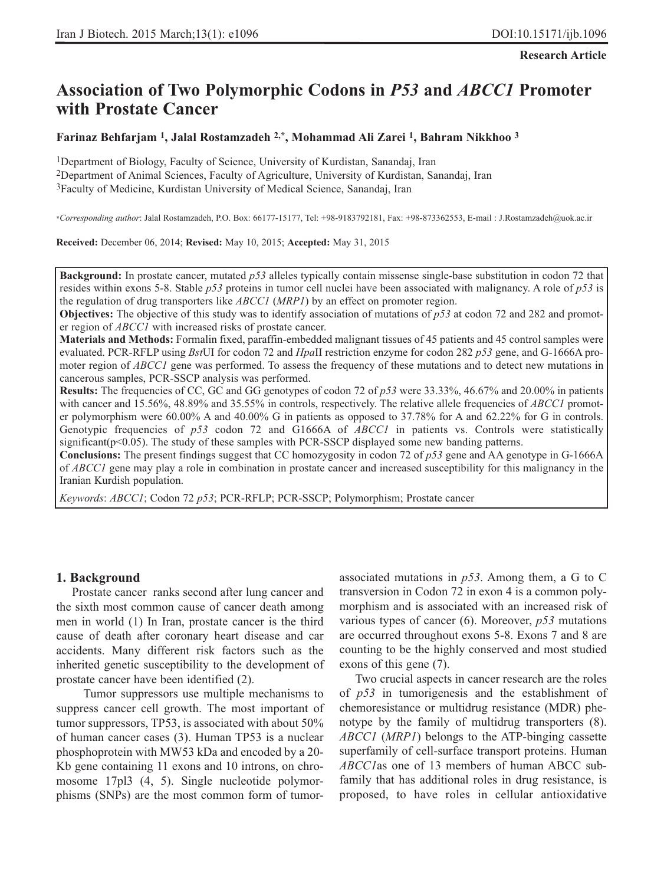**Research Article**

# **Association of Two Polymorphic Codons in** *P53* **and** *ABCC1* **Promoter with Prostate Cancer**

# **Farinaz Behfarjam 1, Jalal Rostamzadeh 2,\*, Mohammad Ali Zarei 1, Bahram Nikkhoo 3**

1Department of Biology, Faculty of Science, University of Kurdistan, Sanandaj, Iran 2Department of Animal Sciences, Faculty of Agriculture, University of Kurdistan, Sanandaj, Iran 3Faculty of Medicine, Kurdistan University of Medical Science, Sanandaj, Iran

\**Corresponding author*: Jalal Rostamzadeh, P.O. Box: 66177-15177, Tel: +98-9183792181, Fax: +98-873362553, E-mail : J.Rostamzadeh@uok.ac.ir

**Received:** December 06, 2014; **Revised:** May 10, 2015; **Accepted:** May 31, 2015

**Background:** In prostate cancer, mutated *p53* alleles typically contain missense single-base substitution in codon 72 that resides within exons 5-8. Stable *p53* proteins in tumor cell nuclei have been associated with malignancy. A role of *p53* is the regulation of drug transporters like *ABCC1* (*MRP1*) by an effect on promoter region.

**Objectives:** The objective of this study was to identify association of mutations of *p53* at codon 72 and 282 and promoter region of *ABCC1* with increased risks of prostate cancer.

**Materials and Methods:** Formalin fixed, paraffin-embedded malignant tissues of 45 patients and 45 control samples were evaluated. PCR-RFLP using *Bst*UI for codon 72 and *Hpa*II restriction enzyme for codon 282 *p53* gene, and G-1666A promoter region of *ABCC1* gene was performed. To assess the frequency of these mutations and to detect new mutations in cancerous samples, PCR-SSCP analysis was performed.

**Results:** The frequencies of CC, GC and GG genotypes of codon 72 of *p53* were 33.33%, 46.67% and 20.00% in patients with cancer and 15.56%, 48.89% and 35.55% in controls, respectively. The relative allele frequencies of *ABCC1* promoter polymorphism were 60.00% A and 40.00% G in patients as opposed to 37.78% for A and 62.22% for G in controls. Genotypic frequencies of *p53* codon 72 and G1666A of *ABCC1* in patients vs. Controls were statistically significant( $p<0.05$ ). The study of these samples with PCR-SSCP displayed some new banding patterns.

**Conclusions:** The present findings suggest that CC homozygosity in codon 72 of *p53* gene and AA genotype in G-1666A of *ABCC1* gene may play a role in combination in prostate cancer and increased susceptibility for this malignancy in the Iranian Kurdish population.

*Keywords*: *ABCC1*; Codon 72 *p53*; PCR-RFLP; PCR-SSCP; Polymorphism; Prostate cancer

# **1. Background**

Prostate cancer ranks second after lung cancer and the sixth most common cause of cancer death among men in world (1) In Iran, prostate cancer is the third cause of death after coronary heart disease and car accidents. Many different risk factors such as the inherited genetic susceptibility to the development of prostate cancer have been identified (2).

Tumor suppressors use multiple mechanisms to suppress cancer cell growth. The most important of tumor suppressors, TP53, is associated with about 50% of human cancer cases (3). Human TP53 is a nuclear phosphoprotein with MW53 kDa and encoded by a 20- Kb gene containing 11 exons and 10 introns, on chromosome 17pl3 (4, 5). Single nucleotide polymorphisms (SNPs) are the most common form of tumorassociated mutations in *p53*. Among them, a G to C transversion in Codon 72 in exon 4 is a common polymorphism and is associated with an increased risk of various types of cancer (6). Moreover, *p53* mutations are occurred throughout exons 5-8. Exons 7 and 8 are counting to be the highly conserved and most studied exons of this gene (7).

Two crucial aspects in cancer research are the roles of *p53* in tumorigenesis and the establishment of chemoresistance or multidrug resistance (MDR) phenotype by the family of multidrug transporters (8). *ABCC1* (*MRP1*) belongs to the ATP-binging cassette superfamily of cell-surface transport proteins. Human *ABCC1*as one of 13 members of human ABCC subfamily that has additional roles in drug resistance, is proposed, to have roles in cellular antioxidative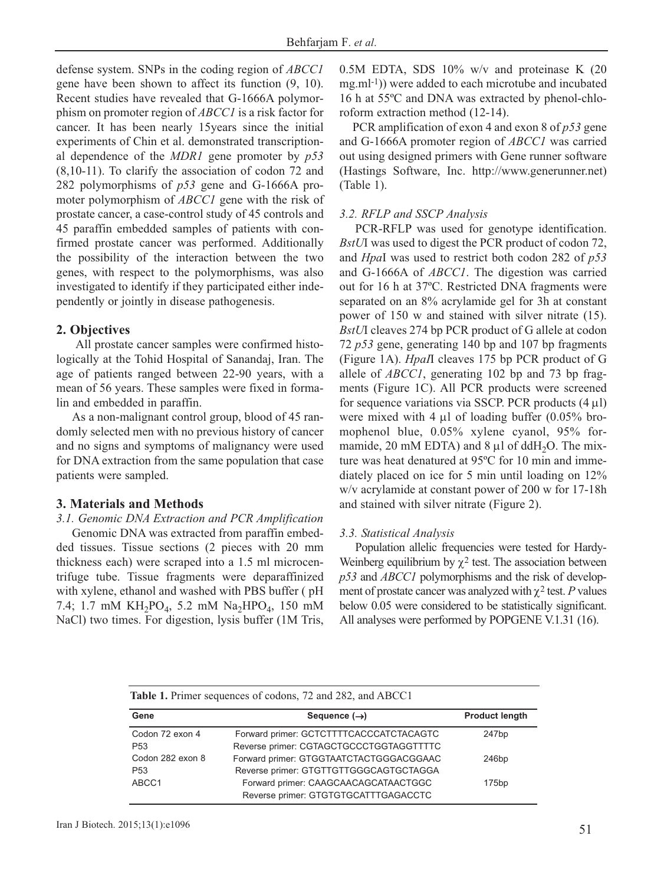defense system. SNPs in the coding region of *ABCC1* gene have been shown to affect its function (9, 10). Recent studies have revealed that G-1666A polymorphism on promoter region of *ABCC1* is a risk factor for cancer. It has been nearly 15years since the initial experiments of Chin et al. demonstrated transcriptional dependence of the *MDR1* gene promoter by *p53* (8,10-11). To clarify the association of codon 72 and 282 polymorphisms of *p53* gene and G-1666A promoter polymorphism of *ABCC1* gene with the risk of prostate cancer, a case-control study of 45 controls and 45 paraffin embedded samples of patients with confirmed prostate cancer was performed. Additionally the possibility of the interaction between the two genes, with respect to the polymorphisms, was also investigated to identify if they participated either independently or jointly in disease pathogenesis.

# **2. Objectives**

All prostate cancer samples were confirmed histologically at the Tohid Hospital of Sanandaj, Iran. The age of patients ranged between 22-90 years, with a mean of 56 years. These samples were fixed in formalin and embedded in paraffin.

As a non-malignant control group, blood of 45 randomly selected men with no previous history of cancer and no signs and symptoms of malignancy were used for DNA extraction from the same population that case patients were sampled.

# **3. Materials and Methods**

### *3.1. Genomic DNA Extraction and PCR Amplification*

Genomic DNA was extracted from paraffin embedded tissues. Tissue sections (2 pieces with 20 mm thickness each) were scraped into a 1.5 ml microcentrifuge tube. Tissue fragments were deparaffinized with xylene, ethanol and washed with PBS buffer ( pH 7.4; 1.7 mM KH<sub>2</sub>PO<sub>4</sub>, 5.2 mM Na<sub>2</sub>HPO<sub>4</sub>, 150 mM NaCl) two times. For digestion, lysis buffer (1M Tris, 0.5M EDTA, SDS 10% w/v and proteinase K (20 mg.ml-1)) were added to each microtube and incubated 16 h at 55ºC and DNA was extracted by phenol-chloroform extraction method (12-14).

PCR amplification of exon 4 and exon 8 of *p53* gene and G-1666A promoter region of *ABCC1* was carried out using designed primers with Gene runner software (Hastings Software, Inc. http://www.generunner.net) (Table 1).

#### *3.2. RFLP and SSCP Analysis*

PCR-RFLP was used for genotype identification. *BstU*I was used to digest the PCR product of codon 72, and *Hpa*I was used to restrict both codon 282 of *p53* and G-1666A of *ABCC1*. The digestion was carried out for 16 h at 37ºC. Restricted DNA fragments were separated on an 8% acrylamide gel for 3h at constant power of 150 w and stained with silver nitrate (15). *BstU*I cleaves 274 bp PCR product of G allele at codon 72 *p53* gene, generating 140 bp and 107 bp fragments (Figure 1A). *HpaI*I cleaves 175 bp PCR product of G allele of *ABCC1*, generating 102 bp and 73 bp fragments (Figure 1C). All PCR products were screened for sequence variations via SSCP. PCR products  $(4 \mu l)$ were mixed with 4 μl of loading buffer (0.05% bromophenol blue, 0.05% xylene cyanol, 95% formamide, 20 mM EDTA) and  $8 \mu$ l of ddH<sub>2</sub>O. The mixture was heat denatured at 95ºC for 10 min and immediately placed on ice for 5 min until loading on 12% w/v acrylamide at constant power of 200 w for 17-18h and stained with silver nitrate (Figure 2).

#### *3.3. Statistical Analysis*

Population allelic frequencies were tested for Hardy-Weinberg equilibrium by  $\chi^2$  test. The association between *p53* and *ABCC1* polymorphisms and the risk of development of prostate cancer was analyzed with  $\chi^2$  test. *P* values below 0.05 were considered to be statistically significant. All analyses were performed by POPGENE V.1.31 (16).

| <b>Table 1.</b> Primer sequences of codons, 72 and 282, and ABCC1 |                                                                                                                        |                       |  |  |  |
|-------------------------------------------------------------------|------------------------------------------------------------------------------------------------------------------------|-----------------------|--|--|--|
| Gene                                                              | Sequence $(\rightarrow)$                                                                                               | <b>Product length</b> |  |  |  |
| Codon 72 exon 4<br>P <sub>53</sub>                                | Forward primer: GCTCTTTTCACCCATCTACAGTC<br>Reverse primer: CGTAGCTGCCCTGGTAGGTTTTC                                     | 247bp                 |  |  |  |
| Codon 282 exon 8                                                  | Forward primer: GTGGTAATCTACTGGGACGGAAC                                                                                | 246 <sub>bp</sub>     |  |  |  |
| P <sub>53</sub><br>ABCC1                                          | Reverse primer: GTGTTGTTGGGCAGTGCTAGGA<br>Forward primer: CAAGCAACAGCATAACTGGC<br>Reverse primer: GTGTGTGCATTTGAGACCTC | 175bp                 |  |  |  |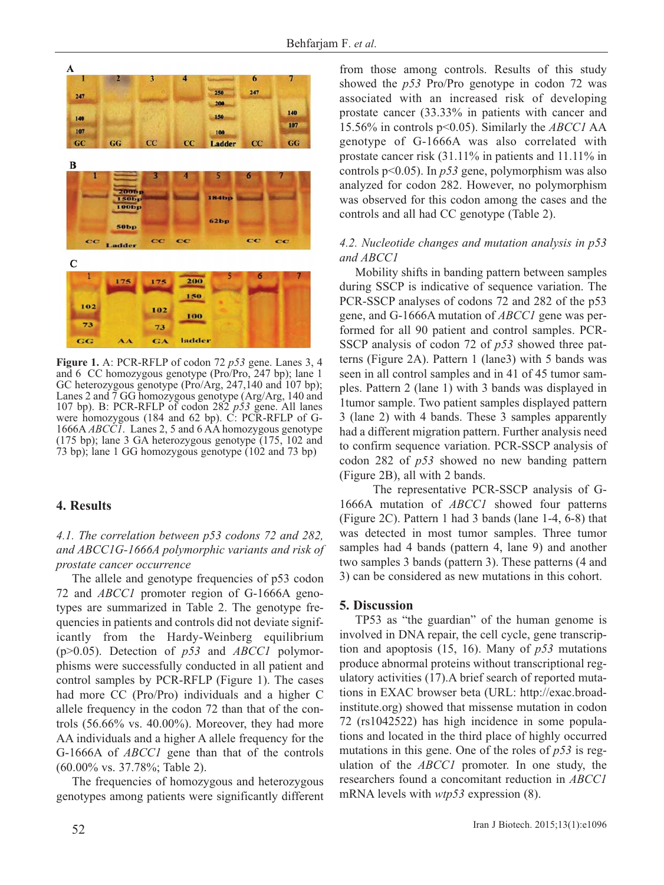

**Figure 1.** A: PCR-RFLP of codon 72 *p53* gene. Lanes 3, 4 and 6 CC homozygous genotype (Pro/Pro, 247 bp); lane 1 GC heterozygous genotype (Pro/Arg, 247,140 and 107 bp); Lanes 2 and 7 GG homozygous genotype (Arg/Arg, 140 and 107 bp). B: PCR-RFLP of codon 282 *p53* gene. All lanes were homozygous (184 and 62 bp). C: PCR-RFLP of G-1666A *ABCC1*. Lanes 2, 5 and 6 AA homozygous genotype (175 bp); lane 3 GA heterozygous genotype (175, 102 and 73 bp); lane 1 GG homozygous genotype (102 and 73 bp)

# **4. Results**

*4.1. The correlation between p53 codons 72 and 282, and ABCC1G-1666A polymorphic variants and risk of prostate cancer occurrence*

The allele and genotype frequencies of p53 codon 72 and *ABCC1* promoter region of G-1666A genotypes are summarized in Table 2. The genotype frequencies in patients and controls did not deviate significantly from the Hardy-Weinberg equilibrium (p>0.05). Detection of *p53* and *ABCC1* polymorphisms were successfully conducted in all patient and control samples by PCR-RFLP (Figure 1). The cases had more CC (Pro/Pro) individuals and a higher C allele frequency in the codon 72 than that of the controls  $(56.66\% \text{ vs. } 40.00\%)$ . Moreover, they had more AA individuals and a higher A allele frequency for the G-1666A of *ABCC1* gene than that of the controls (60.00% vs. 37.78%; Table 2).

The frequencies of homozygous and heterozygous genotypes among patients were significantly different from those among controls. Results of this study showed the *p53* Pro/Pro genotype in codon 72 was associated with an increased risk of developing prostate cancer (33.33% in patients with cancer and 15.56% in controls p<0.05). Similarly the *ABCC1* AA genotype of G-1666A was also correlated with prostate cancer risk (31.11% in patients and 11.11% in controls p<0.05). In *p53* gene, polymorphism was also analyzed for codon 282. However, no polymorphism was observed for this codon among the cases and the controls and all had CC genotype (Table 2).

# *4.2. Nucleotide changes and mutation analysis in p53 and ABCC1*

Mobility shifts in banding pattern between samples during SSCP is indicative of sequence variation. The PCR-SSCP analyses of codons 72 and 282 of the p53 gene, and G-1666A mutation of *ABCC1* gene was performed for all 90 patient and control samples. PCR-SSCP analysis of codon 72 of *p53* showed three patterns (Figure 2A). Pattern 1 (lane3) with 5 bands was seen in all control samples and in 41 of 45 tumor samples. Pattern 2 (lane 1) with 3 bands was displayed in 1tumor sample. Two patient samples displayed pattern 3 (lane 2) with 4 bands. These 3 samples apparently had a different migration pattern. Further analysis need to confirm sequence variation. PCR-SSCP analysis of codon 282 of *p53* showed no new banding pattern (Figure 2B), all with 2 bands.

The representative PCR-SSCP analysis of G-1666A mutation of *ABCC1* showed four patterns (Figure 2C). Pattern 1 had 3 bands (lane 1-4, 6-8) that was detected in most tumor samples. Three tumor samples had 4 bands (pattern 4, lane 9) and another two samples 3 bands (pattern 3). These patterns (4 and 3) can be considered as new mutations in this cohort.

# **5. Discussion**

TP53 as "the guardian" of the human genome is involved in DNA repair, the cell cycle, gene transcription and apoptosis (15, 16). Many of *p53* mutations produce abnormal proteins without transcriptional regulatory activities (17).A brief search of reported mutations in EXAC browser beta (URL: http://exac.broadinstitute.org) showed that missense mutation in codon 72 (rs1042522) has high incidence in some populations and located in the third place of highly occurred mutations in this gene. One of the roles of *p53* is regulation of the *ABCC1* promoter. In one study, the researchers found a concomitant reduction in *ABCC1* mRNA levels with *wtp53* expression (8).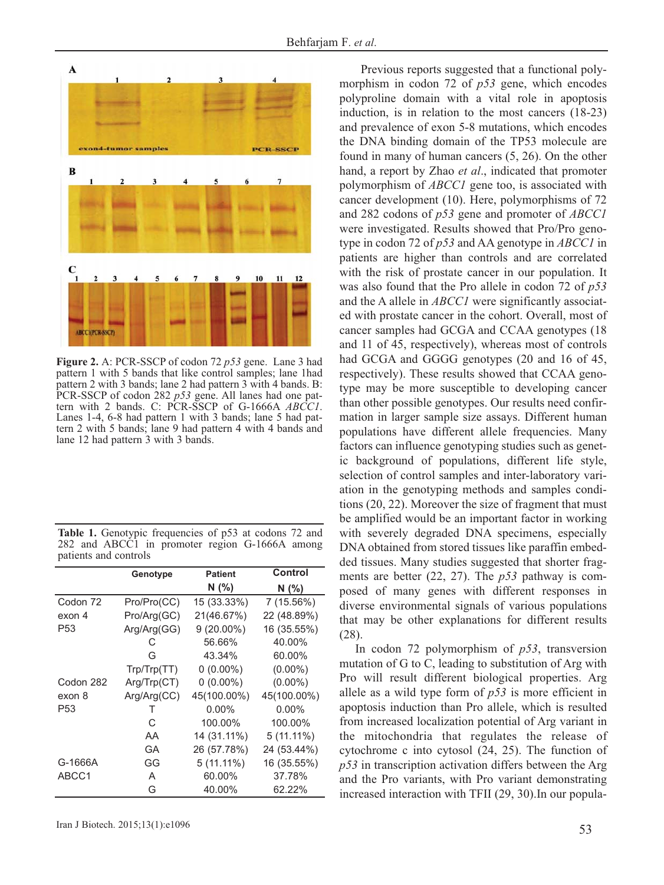

**Figure 2.** A: PCR-SSCP of codon 72 *p53* gene. Lane 3 had pattern 1 with 5 bands that like control samples; lane 1had pattern 2 with 3 bands; lane 2 had pattern 3 with 4 bands. B: PCR-SSCP of codon 282 *p53* gene. All lanes had one pattern with 2 bands. C: PCR-SSCP of G-1666A *ABCC1*. Lanes 1-4, 6-8 had pattern 1 with 3 bands; lane 5 had pattern 2 with 5 bands; lane 9 had pattern 4 with 4 bands and lane 12 had pattern 3 with 3 bands.

| <b>Table 1.</b> Genotypic frequencies of p53 at codons 72 and |  |  |  |
|---------------------------------------------------------------|--|--|--|
| 282 and ABCC1 in promoter region G-1666A among                |  |  |  |
| patients and controls                                         |  |  |  |

|                 | Genotype    | <b>Patient</b> | Control      |
|-----------------|-------------|----------------|--------------|
|                 |             | N(%)           | N (%)        |
| Codon 72        | Pro/Pro(CC) | 15 (33.33%)    | 7 (15.56%)   |
| exon 4          | Pro/Arg(GC) | 21(46.67%)     | 22 (48.89%)  |
| P <sub>53</sub> | Arg/Arg(GG) | $9(20.00\%)$   | 16 (35.55%)  |
|                 | C           | 56.66%         | 40.00%       |
|                 | G           | 43.34%         | 60.00%       |
|                 | Trp/Trp(TT) | $0(0.00\%)$    | $(0.00\%)$   |
| Codon 282       | Arg/Trp(CT) | $0(0.00\%)$    | $(0.00\%)$   |
| exon 8          | Arg/Arg(CC) | 45(100.00%)    | 45(100.00%)  |
| P53             | т           | $0.00\%$       | $0.00\%$     |
|                 | C           | 100.00%        | 100.00%      |
|                 | AA          | 14 (31.11%)    | $5(11.11\%)$ |
|                 | GА          | 26 (57.78%)    | 24 (53.44%)  |
| G-1666A         | GG          | $5(11.11\%)$   | 16 (35.55%)  |
| ABCC1           | A           | 60.00%         | 37.78%       |
|                 | G           | 40.00%         | 62.22%       |

Previous reports suggested that a functional polymorphism in codon 72 of *p53* gene, which encodes polyproline domain with a vital role in apoptosis induction, is in relation to the most cancers (18-23) and prevalence of exon 5-8 mutations, which encodes the DNA binding domain of the TP53 molecule are found in many of human cancers (5, 26). On the other hand, a report by Zhao *et al*., indicated that promoter polymorphism of *ABCC1* gene too, is associated with cancer development (10). Here, polymorphisms of 72 and 282 codons of *p53* gene and promoter of *ABCC1* were investigated. Results showed that Pro/Pro genotype in codon 72 of *p53* and AA genotype in *ABCC1* in patients are higher than controls and are correlated with the risk of prostate cancer in our population. It was also found that the Pro allele in codon 72 of *p53* and the A allele in *ABCC1* were significantly associated with prostate cancer in the cohort. Overall, most of cancer samples had GCGA and CCAA genotypes (18 and 11 of 45, respectively), whereas most of controls had GCGA and GGGG genotypes (20 and 16 of 45, respectively). These results showed that CCAA genotype may be more susceptible to developing cancer than other possible genotypes. Our results need confirmation in larger sample size assays. Different human populations have different allele frequencies. Many factors can influence genotyping studies such as genetic background of populations, different life style, selection of control samples and inter-laboratory variation in the genotyping methods and samples conditions (20, 22). Moreover the size of fragment that must be amplified would be an important factor in working with severely degraded DNA specimens, especially DNA obtained from stored tissues like paraffin embedded tissues. Many studies suggested that shorter fragments are better (22, 27). The *p53* pathway is composed of many genes with different responses in diverse environmental signals of various populations that may be other explanations for different results (28).

In codon 72 polymorphism of *p53*, transversion mutation of G to C, leading to substitution of Arg with Pro will result different biological properties. Arg allele as a wild type form of *p53* is more efficient in apoptosis induction than Pro allele, which is resulted from increased localization potential of Arg variant in the mitochondria that regulates the release of cytochrome c into cytosol (24, 25). The function of *p53* in transcription activation differs between the Arg and the Pro variants, with Pro variant demonstrating increased interaction with TFII (29, 30).In our popula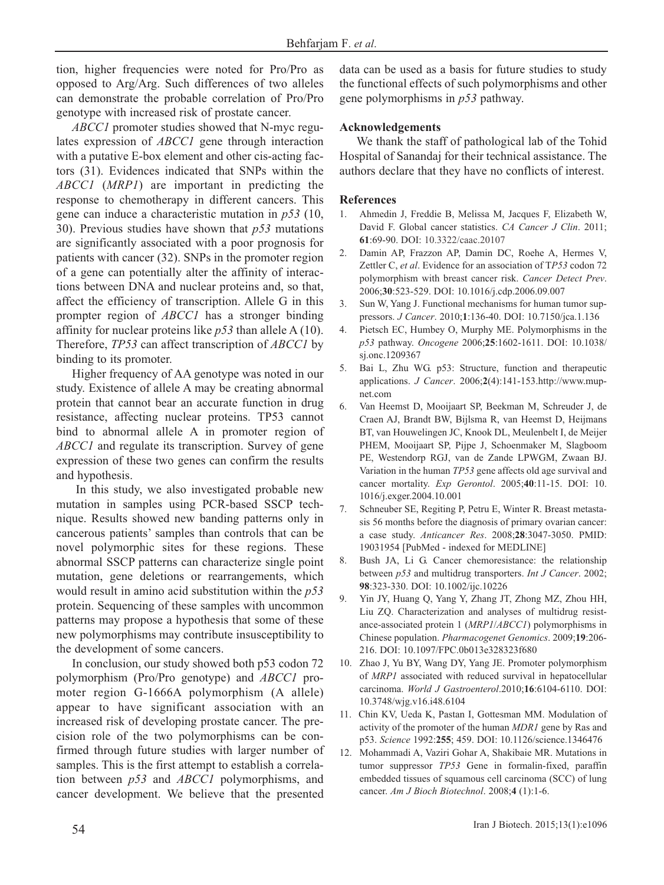tion, higher frequencies were noted for Pro/Pro as opposed to Arg/Arg. Such differences of two alleles can demonstrate the probable correlation of Pro/Pro genotype with increased risk of prostate cancer.

*ABCC1* promoter studies showed that N-myc regulates expression of *ABCC1* gene through interaction with a putative E-box element and other cis-acting factors (31). Evidences indicated that SNPs within the *ABCC1* (*MRP1*) are important in predicting the response to chemotherapy in different cancers. This gene can induce a characteristic mutation in *p53* (10, 30). Previous studies have shown that *p53* mutations are significantly associated with a poor prognosis for patients with cancer (32). SNPs in the promoter region of a gene can potentially alter the affinity of interactions between DNA and nuclear proteins and, so that, affect the efficiency of transcription. Allele G in this prompter region of *ABCC1* has a stronger binding affinity for nuclear proteins like *p53* than allele A (10). Therefore, *TP53* can affect transcription of *ABCC1* by binding to its promoter.

Higher frequency of AA genotype was noted in our study. Existence of allele A may be creating abnormal protein that cannot bear an accurate function in drug resistance, affecting nuclear proteins. TP53 cannot bind to abnormal allele A in promoter region of *ABCC1* and regulate its transcription. Survey of gene expression of these two genes can confirm the results and hypothesis.

In this study, we also investigated probable new mutation in samples using PCR-based SSCP technique. Results showed new banding patterns only in cancerous patients' samples than controls that can be novel polymorphic sites for these regions. These abnormal SSCP patterns can characterize single point mutation, gene deletions or rearrangements, which would result in amino acid substitution within the *p53* protein. Sequencing of these samples with uncommon patterns may propose a hypothesis that some of these new polymorphisms may contribute insusceptibility to the development of some cancers.

In conclusion, our study showed both p53 codon 72 polymorphism (Pro/Pro genotype) and *ABCC1* promoter region G-1666A polymorphism (A allele) appear to have significant association with an increased risk of developing prostate cancer. The precision role of the two polymorphisms can be confirmed through future studies with larger number of samples. This is the first attempt to establish a correlation between *p53* and *ABCC1* polymorphisms, and cancer development. We believe that the presented data can be used as a basis for future studies to study the functional effects of such polymorphisms and other gene polymorphisms in *p53* pathway.

# **Acknowledgements**

We thank the staff of pathological lab of the Tohid Hospital of Sanandaj for their technical assistance. The authors declare that they have no conflicts of interest.

# **References**

- 1. Ahmedin J, Freddie B, Melissa M, Jacques F, Elizabeth W, David F. Global cancer statistics. *CA Cancer J Clin*. 2011; **61**:69-90. DOI: 10.3322/caac.20107
- 2. Damin AP, Frazzon AP, Damin DC, Roehe A, Hermes V, Zettler C, *et al*. Evidence for an association of T*P53* codon 72 polymorphism with breast cancer risk. *Cancer Detect Prev*. 2006;**30**:523-529. DOI: 10.1016/j.cdp.2006.09.007
- 3. Sun W, Yang J. Functional mechanisms for human tumor suppressors. *J Cancer*. 2010;**1**:136-40. DOI: 10.7150/jca.1.136
- 4. Pietsch EC, Humbey O, Murphy ME. Polymorphisms in the *p53* pathway. *Oncogene* 2006;**25**:1602-1611. DOI: 10.1038/ sj.onc.1209367
- 5. Bai L, Zhu WG. p53: Structure, function and therapeutic applications. *J Cancer*. 2006;**2**(4):141-153.http://www.mupnet.com
- 6. Van Heemst D, Mooijaart SP, Beekman M, Schreuder J, de Craen AJ, Brandt BW, Bijlsma R, van Heemst D, Heijmans BT, van Houwelingen JC, Knook DL, Meulenbelt I, de Meijer PHEM, Mooijaart SP, Pijpe J, Schoenmaker M, Slagboom PE, Westendorp RGJ, van de Zande LPWGM, Zwaan BJ. Variation in the human *TP53* gene affects old age survival and cancer mortality. *Exp Gerontol*. 2005;**40**:11-15. DOI: 10. 1016/j.exger.2004.10.001
- 7. Schneuber SE, Regiting P, Petru E, Winter R. Breast metastasis 56 months before the diagnosis of primary ovarian cancer: a case study. *Anticancer Res*. 2008;**28**:3047-3050. PMID: 19031954 [PubMed - indexed for MEDLINE]
- 8. Bush JA, Li G. Cancer chemoresistance: the relationship between *p53* and multidrug transporters. *Int J Cancer*. 2002; **98**:323-330. DOI: 10.1002/ijc.10226
- 9. Yin JY, Huang Q, Yang Y, Zhang JT, Zhong MZ, Zhou HH, Liu ZQ. Characterization and analyses of multidrug resistance-associated protein 1 (*MRP1*/*ABCC1*) polymorphisms in Chinese population. *Pharmacogenet Genomics*. 2009;**19**:206- 216. DOI: 10.1097/FPC.0b013e328323f680
- 10. Zhao J, Yu BY, Wang DY, Yang JE. Promoter polymorphism of *MRP1* associated with reduced survival in hepatocellular carcinoma. *World J Gastroenterol*.2010;**16**:6104-6110. DOI: 10.3748/wjg.v16.i48.6104
- 11. Chin KV, Ueda K, Pastan I, Gottesman MM. Modulation of activity of the promoter of the human *MDR1* gene by Ras and p53. *Science* 1992:**255**; 459. DOI: 10.1126/science.1346476
- 12. Mohammadi A, Vaziri Gohar A, Shakibaie MR. Mutations in tumor suppressor *TP53* Gene in formalin-fixed, paraffin embedded tissues of squamous cell carcinoma (SCC) of lung cancer. *Am J Bioch Biotechnol*. 2008;**4** (1):1-6.